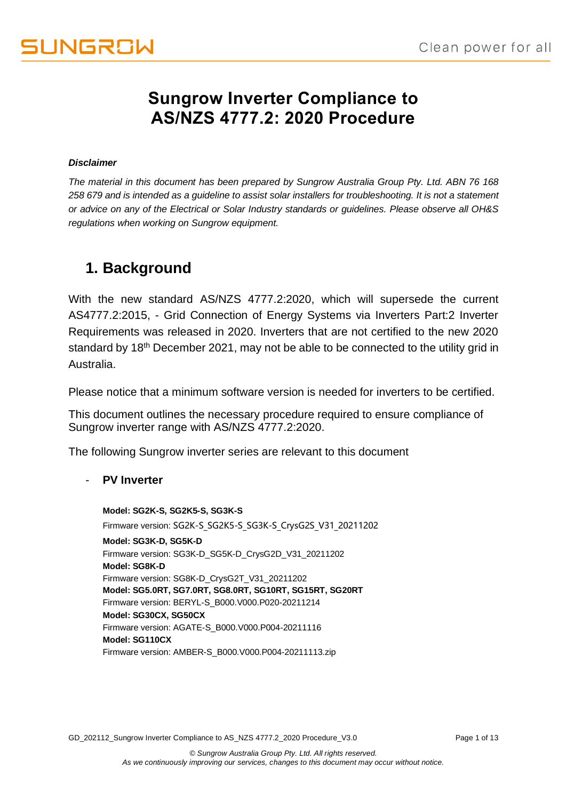## **Sungrow Inverter Compliance to AS/NZS 4777.2: 2020 Procedure**

#### *Disclaimer*

*The material in this document has been prepared by Sungrow Australia Group Pty. Ltd. ABN 76 168 258 679 and is intended as a guideline to assist solar installers for troubleshooting. It is not a statement or advice on any of the Electrical or Solar Industry standards or guidelines. Please observe all OH&S regulations when working on Sungrow equipment.*

## **1. Background**

With the new standard AS/NZS 4777.2:2020, which will supersede the current AS4777.2:2015, - Grid Connection of Energy Systems via Inverters Part:2 Inverter Requirements was released in 2020. Inverters that are not certified to the new 2020 standard by 18<sup>th</sup> December 2021, may not be able to be connected to the utility grid in Australia.

Please notice that a minimum software version is needed for inverters to be certified.

This document outlines the necessary procedure required to ensure compliance of Sungrow inverter range with AS/NZS 4777.2:2020.

The following Sungrow inverter series are relevant to this document

#### - **PV Inverter**

**Model: SG2K-S, SG2K5-S, SG3K-S** Firmware version: SG2K-S\_SG2K5-S\_SG3K-S\_CrysG2S\_V31\_20211202 **Model: SG3K-D, SG5K-D** Firmware version: SG3K-D\_SG5K-D\_CrysG2D\_V31\_20211202 **Model: SG8K-D** Firmware version: SG8K-D\_CrysG2T\_V31\_20211202 **Model: SG5.0RT, SG7.0RT, SG8.0RT, SG10RT, SG15RT, SG20RT** Firmware version: BERYL-S\_B000.V000.P020-20211214 **Model: SG30CX, SG50CX** Firmware version: AGATE-S\_B000.V000.P004-20211116 **Model: SG110CX** Firmware version: AMBER-S\_B000.V000.P004-20211113.zip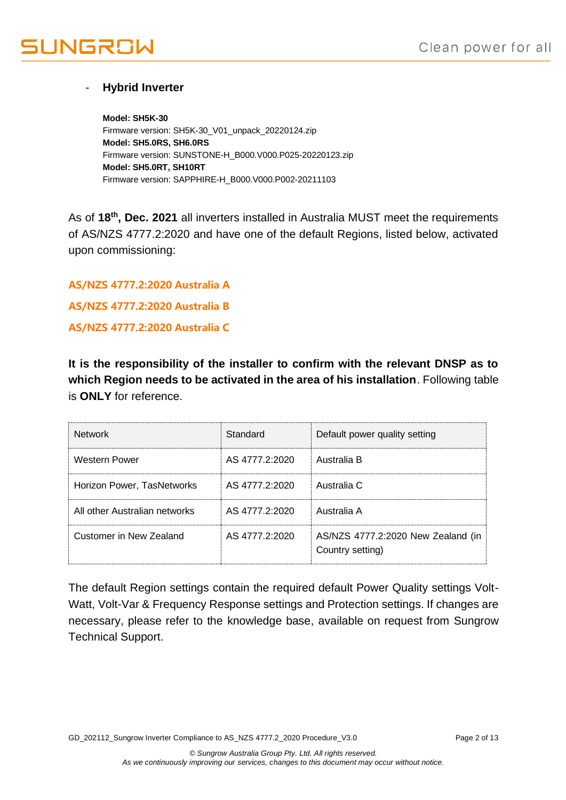# **IUNGROW**

### - **Hybrid Inverter**

**Model: SH5K-30** Firmware version: SH5K-30\_V01\_unpack\_20220124.zip **Model: SH5.0RS, SH6.0RS** Firmware version: SUNSTONE-H\_B000.V000.P025-20220123.zip **Model: SH5.0RT, SH10RT** Firmware version: SAPPHIRE-H\_B000.V000.P002-20211103

As of **18th, Dec. 2021** all inverters installed in Australia MUST meet the requirements of AS/NZS 4777.2:2020 and have one of the default Regions, listed below, activated upon commissioning:

**AS/NZS 4777.2:2020 Australia A AS/NZS 4777.2:2020 Australia B**

**AS/NZS 4777.2:2020 Australia C**

**It is the responsibility of the installer to confirm with the relevant DNSP as to which Region needs to be activated in the area of his installation**. Following table is **ONLY** for reference.

| <b>Network</b>                | Standard       | Default power quality setting                          |
|-------------------------------|----------------|--------------------------------------------------------|
| Western Power                 | AS 4777.2:2020 | Australia B                                            |
| Horizon Power, TasNetworks    | AS 4777.2:2020 | Australia C                                            |
| All other Australian networks | AS 4777 2:2020 | Australia A                                            |
| Customer in New Zealand       | AS 4777.2:2020 | AS/NZS 4777.2:2020 New Zealand (in<br>Country setting) |

The default Region settings contain the required default Power Quality settings Volt-Watt, Volt-Var & Frequency Response settings and Protection settings. If changes are necessary, please refer to the knowledge base, available on request from Sungrow Technical Support.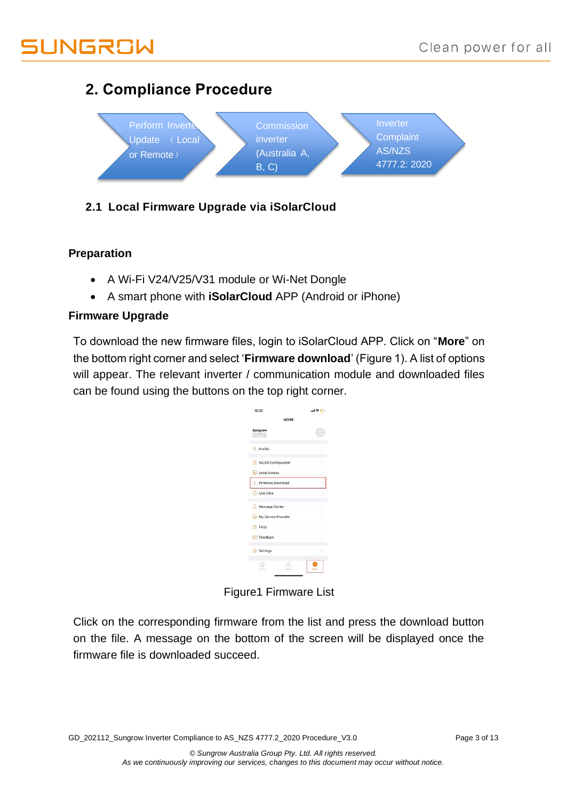# UNGROW

## **2. Compliance Procedure**



## **2.1 Local Firmware Upgrade via iSolarCloud**

### **Preparation**

- A Wi-Fi V24/V25/V31 module or Wi-Net Dongle
- A smart phone with **iSolarCloud** APP (Android or iPhone)

### **Firmware Upgrade**

To download the new firmware files, login to iSolarCloud APP. Click on "**More**" on the bottom right corner and select '**Firmware download**' (Figure 1). A list of options will appear. The relevant inverter / communication module and downloaded files can be found using the buttons on the top right corner.

| MORE                      |   |
|---------------------------|---|
|                           |   |
| Sungrow                   |   |
| Profile                   | 5 |
| <b>WLAN</b> Configuration |   |
| Local Access              |   |
| Firmware Download         |   |
| Live Data                 |   |
| Message Center            | 5 |
| My Service Provider       | 5 |
| <b>P</b> FAOs             |   |
| Feedback                  |   |
| Settings                  | 8 |
| 16<br>Home :              |   |

Figure1 Firmware List

Click on the corresponding firmware from the list and press the download button on the file. A message on the bottom of the screen will be displayed once the firmware file is downloaded succeed.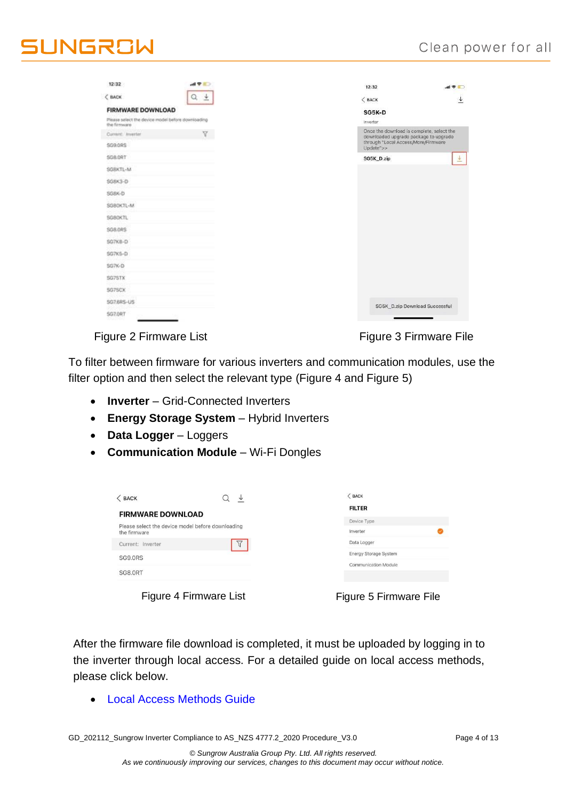| 12:32                                                             | $AB = 0$ | 12:32                                                                              | $m \approx 1$                  |
|-------------------------------------------------------------------|----------|------------------------------------------------------------------------------------|--------------------------------|
| $<$ BACK                                                          | Q<br>土   | $<$ BACK                                                                           |                                |
| <b>FIRMWARE DOWNLOAD</b>                                          |          | SG5K-D                                                                             |                                |
| Please select the device model before downloading<br>the firmware |          | Inverter                                                                           |                                |
| Current: Inverter                                                 | v.       | Once the download is complete, select the<br>downloaded upgrade package to upgrade |                                |
| <b>SG9.0RS</b>                                                    |          | through "Local Access/More/Firmware<br>Update">>                                   |                                |
| SC&ORT                                                            |          | SG5K_D.zip                                                                         | $\overline{\uppsi}$            |
| SG8KTL-M                                                          |          |                                                                                    |                                |
| SG&K3-D                                                           |          |                                                                                    |                                |
| SG&K-D                                                            |          |                                                                                    |                                |
| SG80KTL-M                                                         |          |                                                                                    |                                |
| SG80KTL                                                           |          |                                                                                    |                                |
| S08.0RS                                                           |          |                                                                                    |                                |
| SG7KB-D                                                           |          |                                                                                    |                                |
| \$G7KS-D                                                          |          |                                                                                    |                                |
| \$G7K-D                                                           |          |                                                                                    |                                |
| SG75TX                                                            |          |                                                                                    |                                |
| SG75CX                                                            |          |                                                                                    |                                |
| SG7.6RS-US                                                        |          |                                                                                    | SG5K_D.zip Download Successful |
| <b>SG7.0RT</b>                                                    |          |                                                                                    |                                |

Figure 2 Firmware List Figure 3 Firmware File

To filter between firmware for various inverters and communication modules, use the filter option and then select the relevant type (Figure 4 and Figure 5)

- **Inverter**  Grid-Connected Inverters
- **Energy Storage System**  Hybrid Inverters
- **Data Logger**  Loggers
- **Communication Module**  Wi-Fi Dongles

| $<$ BACK                                                          | ↓ | $<$ BACK                     |
|-------------------------------------------------------------------|---|------------------------------|
| <b>FIRMWARE DOWNLOAD</b>                                          |   | <b>FILTER</b>                |
|                                                                   |   | Device Type                  |
| Please select the device model before downloading<br>the firmware |   | Inverter                     |
| Current: Inverter                                                 |   | Data Logger                  |
| <b>SG9.0RS</b>                                                    |   | <b>Energy Storage System</b> |
|                                                                   |   | Communication Module         |
| SG8.0RT                                                           |   |                              |
|                                                                   |   |                              |
|                                                                   |   |                              |

Figure 4 Firmware List

| Figure 5 Firmware File |  |  |
|------------------------|--|--|
|------------------------|--|--|

After the firmware file download is completed, it must be uploaded by logging in to the inverter through local access. For a detailed guide on local access methods, please click below.

• [Local Access Methods](https://service.sungrowpower.com.au/files/Web_Files/FAQ/GD_202103_iSolarCloud_Local%20Access%20Methods_V1.0.pdf) Guide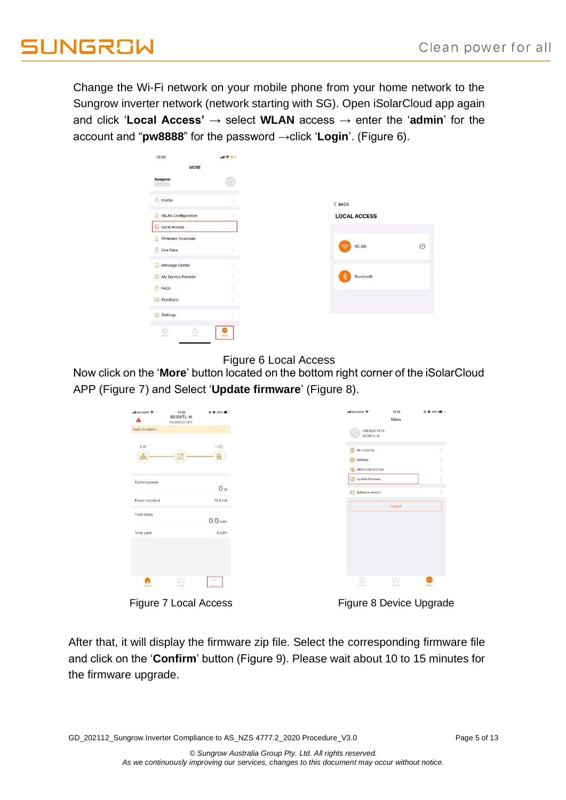Change the Wi-Fi network on your mobile phone from your home network to the Sungrow inverter network (network starting with SG). Open iSolarCloud app again and click '**Local Access'** → select **WLAN** access → enter the '**admin**' for the account and "**pw8888**" for the password →click '**Login**'. (Figure 6).

| 12:32                           | 해우曲) |                     |
|---------------------------------|------|---------------------|
| <b>MORE</b>                     |      |                     |
| Sungrow                         |      |                     |
| <b>A</b> Profile                |      | $<$ BACK            |
| WLAN Configuration              |      | <b>LOCAL ACCESS</b> |
| Local Access                    |      |                     |
| Firmware Download<br>业          |      |                     |
| Live Data                       |      | WLAN<br>କ           |
| Message Center<br>Ω             |      |                     |
| My Service Provider<br>$\Theta$ |      | $\ast$<br>Bluetooth |
| <b>B</b> FAQs                   | x    |                     |
| Feedback                        |      |                     |
| Settings<br>$\{0\}$             |      |                     |

#### Figure 6 Local Access

Now click on the '**More**' button located on the bottom right corner of the iSolarCloud [APP \(Figure 7\)](#page-4-0) and Select '**Update firmware**' [\(Figure 8\)](#page-4-1).

| all amaysim 우               | 15:12<br>SG10KTL-M<br>SN:A1810071474 | @ 0 60% (D)         |
|-----------------------------|--------------------------------------|---------------------|
| Fault shutdown              |                                      |                     |
| 0 W<br>$\frac{0}{\sqrt{2}}$ |                                      | $\cdots \odot$<br>舟 |
|                             |                                      |                     |
| Current power               |                                      | O <sub>w</sub>      |
| Power installed             |                                      | 10.0 kW             |
| Yield today                 |                                      |                     |
| Total yield                 |                                      | $0.0$ kWh<br>8 kWh  |
|                             |                                      |                     |
|                             |                                      |                     |
| n                           | W                                    | 111                 |
| Home                        | Chart:                               | More.               |

<span id="page-4-1"></span>

<span id="page-4-0"></span>Figure 7 Local Access Figure 8 Device Upgrade

After that, it will display the firmware zip file. Select the corresponding firmware file and click on the '**Confirm**' button (Figure 9). Please wait about 10 to 15 minutes for the firmware upgrade.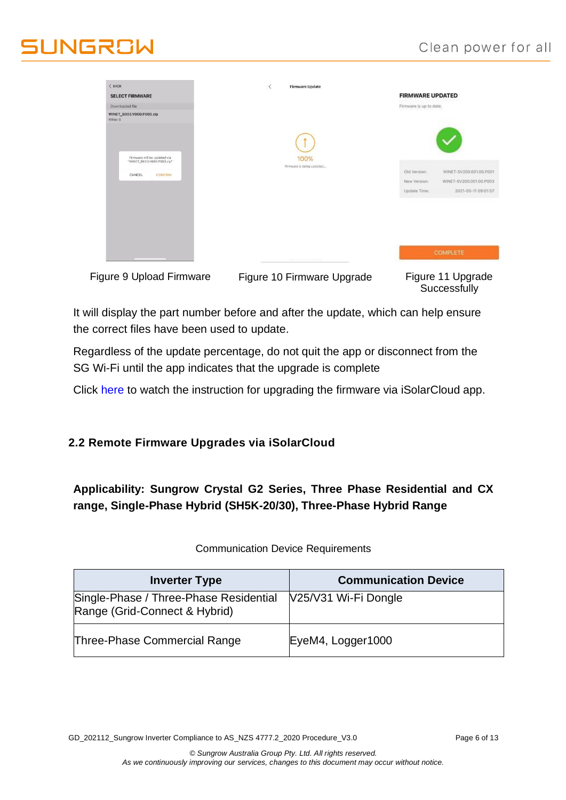## Clean power for all

# **II INGRAW**

| $<$ BACK<br><b>SELECT FIRMWARE</b>                                              | $\langle$<br><b>Firmware Update</b> | <b>FIRMWARE UPDATED</b>                                                                                                   |
|---------------------------------------------------------------------------------|-------------------------------------|---------------------------------------------------------------------------------------------------------------------------|
| Downloaded file<br>WINET_B003.V000.P003.zip<br>WiNet-S                          |                                     | Firmware is up to date.                                                                                                   |
| Firmware will be updated via<br>"WINET_B003.V000.P003.zip"<br>CANCEL<br>CONFIRM | 100%<br>Firmware is being updated   | WINET-SV200.001.00.P001<br>Old Version:<br>New Version:<br>WINET-SV200.001.00.P003<br>Update Time:<br>2021-05-11 09:01:57 |
|                                                                                 |                                     | <b>COMPLETE</b>                                                                                                           |
| Figure 9 Upload Firmware                                                        | Figure 10 Firmware Upgrade          | Figure 11 Upgrade<br>Successfully                                                                                         |

It will display the part number before and after the update, which can help ensure the correct files have been used to update.

Regardless of the update percentage, do not quit the app or disconnect from the SG Wi-Fi until the app indicates that the upgrade is complete

Click [here t](https://youtu.be/2lNiNE7Gfvk)o watch the instruction for upgrading the firmware via iSolarCloud app.

### **2.2 Remote Firmware Upgrades via iSolarCloud**

**Applicability: Sungrow Crystal G2 Series, Three Phase Residential and CX range, Single-Phase Hybrid (SH5K-20/30), Three-Phase Hybrid Range**

| <b>Inverter Type</b>                                                    | <b>Communication Device</b> |
|-------------------------------------------------------------------------|-----------------------------|
| Single-Phase / Three-Phase Residential<br>Range (Grid-Connect & Hybrid) | V25/V31 Wi-Fi Dongle        |
| Three-Phase Commercial Range                                            | EyeM4, Logger1000           |

Communication Device Requirements

GD\_202112\_Sungrow Inverter Compliance to AS\_NZS 4777.2\_2020 Procedure\_V3.0 Page 6 of 13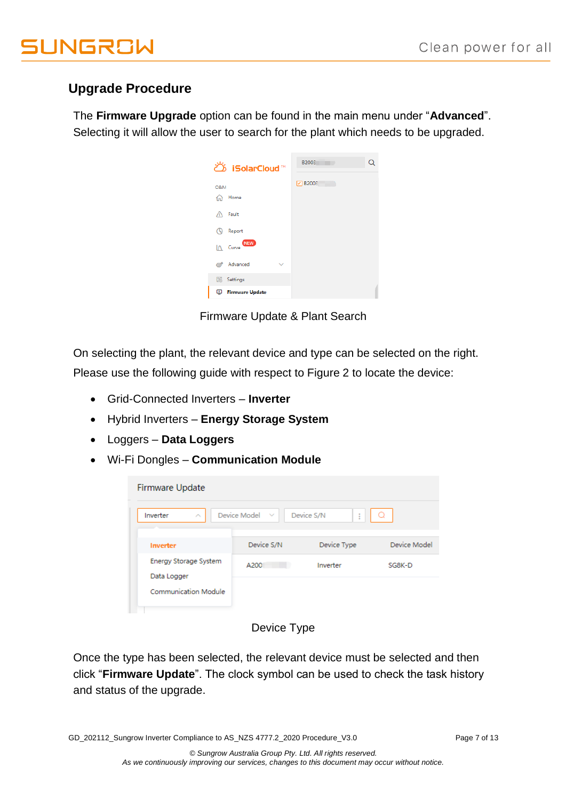# **UNGROW**

## **Upgrade Procedure**

The **Firmware Upgrade** option can be found in the main menu under "**Advanced**". Selecting it will allow the user to search for the plant which needs to be upgraded.

| ඊ iSolarCloud™                         | B2003<br>Q |
|----------------------------------------|------------|
| O&M                                    | P B2003    |
| Home<br>ና <sub>ከ</sub> ት<br>Fault<br>A |            |
| Report<br>٨ę                           |            |
| <b>NEW</b><br>$\mathbf{A}$ Curve       |            |
| Advanced<br>ක්<br>z                    |            |
| Settings                               |            |
| <b>Firmware Update</b><br>Φ            |            |

Firmware Update & Plant Search

On selecting the plant, the relevant device and type can be selected on the right. Please use the following guide with respect to Figure 2 to locate the device:

- Grid-Connected Inverters **Inverter**
- Hybrid Inverters **Energy Storage System**
- Loggers **Data Loggers**
- Wi-Fi Dongles **Communication Module**

| Firmware Update                             |                     |                 |              |
|---------------------------------------------|---------------------|-----------------|--------------|
| Inverter<br>∧                               | Device Model $\vee$ | Device S/N<br>ŧ |              |
| Inverter                                    | Device S/N          | Device Type     | Device Model |
| <b>Energy Storage System</b><br>Data Logger | A200                | Inverter        | SG8K-D       |
| <b>Communication Module</b>                 |                     |                 |              |

## Device Type

Once the type has been selected, the relevant device must be selected and then click "**Firmware Update**". The clock symbol can be used to check the task history and status of the upgrade.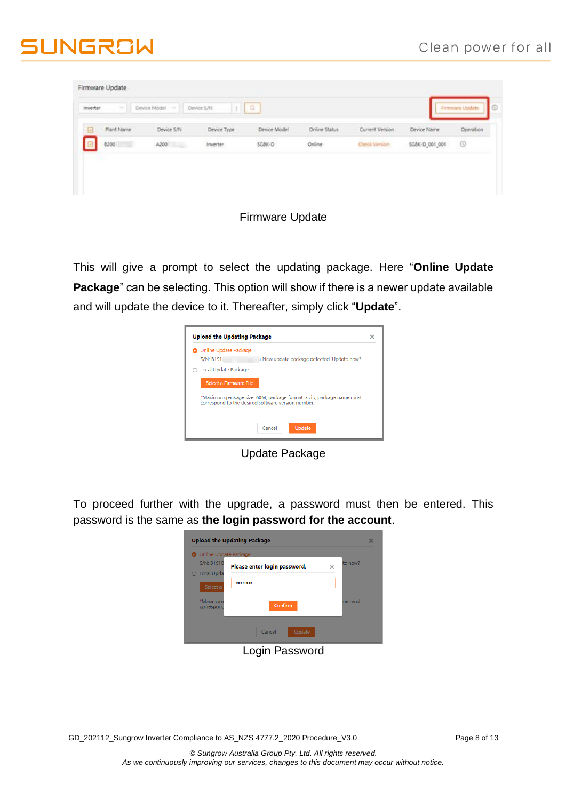# **JUNGROW**

| Inverter.<br>w  | Device Model<br><b>COM</b> | $\frac{1}{2}$<br>Device S/N |              |               |                 |                | Firmware Update |
|-----------------|----------------------------|-----------------------------|--------------|---------------|-----------------|----------------|-----------------|
| Plant Name<br>ø | Device S/N                 | Device Type                 | Device Model | Online Status | Current Version | Device Name    | Operation       |
| 8200            | A200                       | Inverter.                   | SGBK-D       | Online        | Check Version   | SG8K-D_001_001 | $\circledcirc$  |
| and a           |                            |                             |              |               |                 |                |                 |

#### Firmware Update

This will give a prompt to select the updating package. Here "**Online Update Package**" can be selecting. This option will show if there is a newer update available and will update the device to it. Thereafter, simply click "**Update**".

| <b>Upload the Updating Package</b> |                                                                                                                            | x |
|------------------------------------|----------------------------------------------------------------------------------------------------------------------------|---|
| O Online Update Package            |                                                                                                                            |   |
| <b>S/N: B191</b>                   | New update package detected. Update now?                                                                                   |   |
| ○ Local Update Package             |                                                                                                                            |   |
| Select a Firmware File             |                                                                                                                            |   |
|                                    | *Maximum package size: 60M, package format: x.zip, package name must<br>correspond to the desired software version number. |   |
|                                    | Update,<br>Cancel                                                                                                          |   |

Update Package

To proceed further with the upgrade, a password must then be entered. This password is the same as **the login password for the account**.

|                              | ite now? |
|------------------------------|----------|
| Please enter login password. | ×        |
|                              |          |
|                              |          |
|                              | me must  |
| Confirm                      |          |
|                              |          |
|                              |          |

Login Password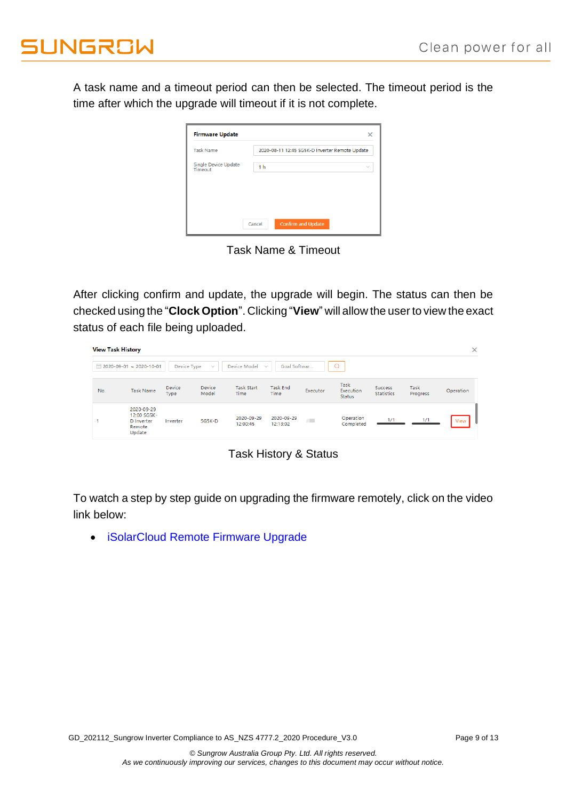A task name and a timeout period can then be selected. The timeout period is the time after which the upgrade will timeout if it is not complete.

| <b>Task Name</b>                | 2020-08-11 12:45 SG5K-D Inverter Remote Update |              |
|---------------------------------|------------------------------------------------|--------------|
| Single Device Update<br>Timeout | 1 <sub>h</sub>                                 | $\checkmark$ |
|                                 |                                                |              |

Task Name & Timeout

After clicking confirm and update, the upgrade will begin. The status can then be checked using the "**Clock Option**". Clicking "**View**" will allow the user to view the exact status of each file being uploaded.

| <b>View Task History</b> |                                                             |                |                 |                           |                              |            |                                    |                                     |                  | $\times$  |
|--------------------------|-------------------------------------------------------------|----------------|-----------------|---------------------------|------------------------------|------------|------------------------------------|-------------------------------------|------------------|-----------|
|                          | ■ 2020-09-01 ~ 2020-10-01                                   | Device Type    | $\checkmark$    | Device Model              | Goal Softwar<br>$\checkmark$ |            |                                    |                                     |                  |           |
| No.                      | <b>Task Name</b>                                            | Device<br>Type | Device<br>Model | <b>Task Start</b><br>Time | <b>Task End</b><br>Time      | Executor   | Task<br>Execution<br><b>Status</b> | <b>Success</b><br><b>Statistics</b> | Task<br>Progress | Operation |
|                          | 2020-09-29<br>12:00 SG5K-<br>D Inverter<br>Remote<br>Update | Inverter       | SG5K-D          | 2020-09-29<br>12:00:45    | 2020-09-29<br>12:13:02       | $\sqrt{2}$ | Operation<br>Completed             | 1/1                                 | 1/1              | View      |

Task History & Status

To watch a step by step guide on upgrading the firmware remotely, click on the video link below:

• [iSolarCloud Remote Firmware Upgrade](https://youtu.be/3FW_wLOUj6k)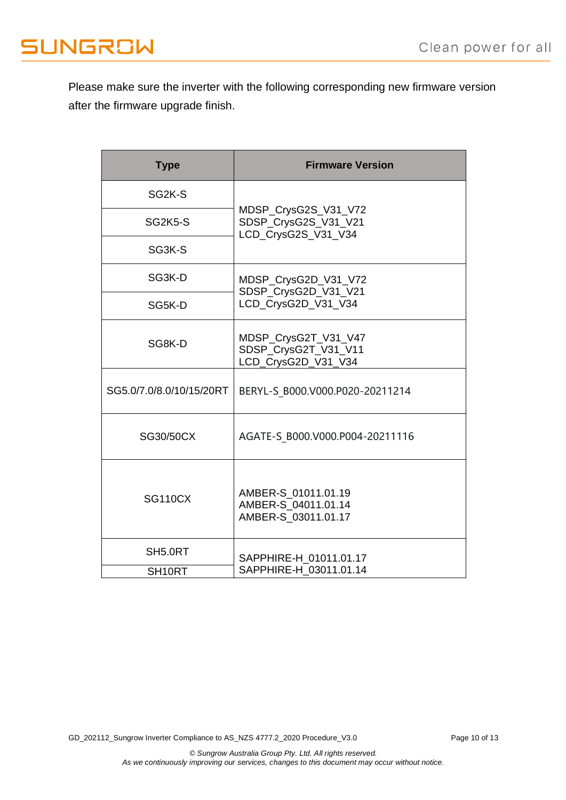Please make sure the inverter with the following corresponding new firmware version after the firmware upgrade finish.

| <b>Type</b>              | <b>Firmware Version</b>                                             |  |  |  |  |
|--------------------------|---------------------------------------------------------------------|--|--|--|--|
| SG <sub>2K</sub> -S      |                                                                     |  |  |  |  |
| SG2K5-S                  | MDSP_CrysG2S_V31_V72<br>SDSP_CrysG2S_V31_V21<br>LCD_CrysG2S_V31_V34 |  |  |  |  |
| SG3K-S                   |                                                                     |  |  |  |  |
| SG3K-D                   | MDSP_CrysG2D_V31_V72<br>SDSP_CrysG2D_V31_V21                        |  |  |  |  |
| SG5K-D                   | LCD_CrysG2D_V31_V34                                                 |  |  |  |  |
| SG8K-D                   | MDSP_CrysG2T_V31_V47<br>SDSP_CrysG2T_V31_V11<br>LCD_CrysG2D_V31_V34 |  |  |  |  |
| SG5.0/7.0/8.0/10/15/20RT | BERYL-S B000.V000.P020-20211214                                     |  |  |  |  |
| SG30/50CX                | AGATE-S B000.V000.P004-20211116                                     |  |  |  |  |
| <b>SG110CX</b>           | AMBER-S 01011.01.19<br>AMBER-S 04011.01.14<br>AMBER-S_03011.01.17   |  |  |  |  |
| SH5.0RT                  | SAPPHIRE-H 01011.01.17                                              |  |  |  |  |
| SH <sub>10RT</sub>       | SAPPHIRE-H 03011.01.14                                              |  |  |  |  |

GD\_202112\_Sungrow Inverter Compliance to AS\_NZS 4777.2\_2020 Procedure\_V3.0 Page 10 of 13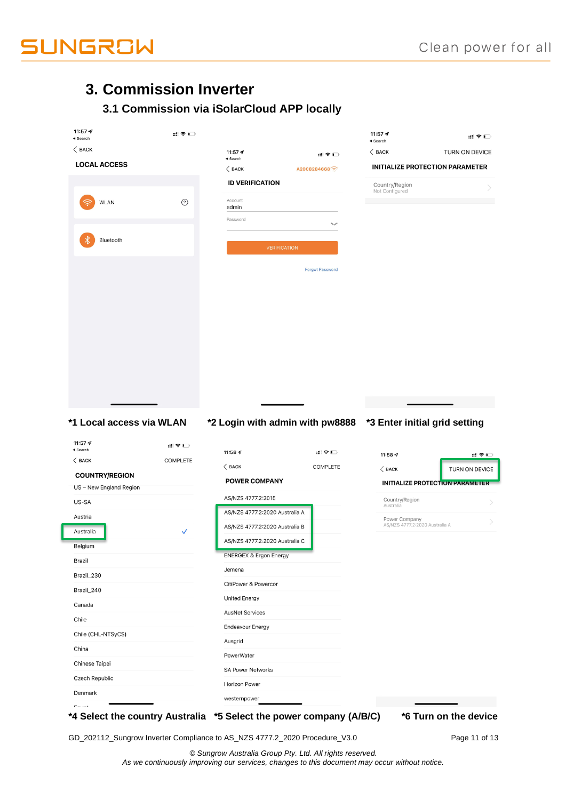

## **3. Commission Inverter**

## **3.1 Commission via iSolarCloud APP locally**

| 11:57 $\mathcal{A}$<br>$\triangleleft$ Search                                                                                                                                                                                                                                       | :‼ 全口           |                                               |                        | 11:57 $\rightarrow$<br>$\triangleleft$ Search                 | ::!! 令 ■ ■               |
|-------------------------------------------------------------------------------------------------------------------------------------------------------------------------------------------------------------------------------------------------------------------------------------|-----------------|-----------------------------------------------|------------------------|---------------------------------------------------------------|--------------------------|
| $\langle$ BACK                                                                                                                                                                                                                                                                      |                 | 11:57 $\rightarrow$<br>$\triangleleft$ Search | ≝া ক মা                | $\langle$ BACK                                                | TURN ON DEVICE           |
| <b>LOCAL ACCESS</b>                                                                                                                                                                                                                                                                 |                 | $\langle$ BACK                                | A2008284668            | <b>INITIALIZE PROTECTION PARAMETER</b>                        |                          |
|                                                                                                                                                                                                                                                                                     |                 | <b>ID VERIFICATION</b>                        |                        | Country/Region                                                |                          |
|                                                                                                                                                                                                                                                                                     | $\odot$         | Account                                       |                        | Not Configured                                                |                          |
| <b>WLAN</b>                                                                                                                                                                                                                                                                         |                 | admin                                         |                        |                                                               |                          |
|                                                                                                                                                                                                                                                                                     |                 | Password                                      | Į                      |                                                               |                          |
| Bluetooth                                                                                                                                                                                                                                                                           |                 |                                               |                        |                                                               |                          |
|                                                                                                                                                                                                                                                                                     |                 | <b>VERIFICATION</b>                           |                        |                                                               |                          |
|                                                                                                                                                                                                                                                                                     |                 |                                               | <b>Forgot Password</b> |                                                               |                          |
|                                                                                                                                                                                                                                                                                     |                 |                                               |                        |                                                               |                          |
|                                                                                                                                                                                                                                                                                     |                 |                                               |                        |                                                               |                          |
|                                                                                                                                                                                                                                                                                     |                 |                                               |                        |                                                               |                          |
|                                                                                                                                                                                                                                                                                     |                 |                                               |                        |                                                               |                          |
|                                                                                                                                                                                                                                                                                     |                 |                                               |                        |                                                               |                          |
|                                                                                                                                                                                                                                                                                     |                 |                                               |                        |                                                               |                          |
|                                                                                                                                                                                                                                                                                     |                 |                                               |                        |                                                               |                          |
|                                                                                                                                                                                                                                                                                     |                 |                                               |                        |                                                               |                          |
|                                                                                                                                                                                                                                                                                     |                 |                                               |                        |                                                               |                          |
|                                                                                                                                                                                                                                                                                     |                 |                                               |                        |                                                               |                          |
|                                                                                                                                                                                                                                                                                     |                 |                                               |                        |                                                               |                          |
|                                                                                                                                                                                                                                                                                     |                 |                                               |                        |                                                               |                          |
|                                                                                                                                                                                                                                                                                     |                 |                                               |                        |                                                               |                          |
|                                                                                                                                                                                                                                                                                     |                 |                                               |                        |                                                               |                          |
|                                                                                                                                                                                                                                                                                     |                 |                                               |                        |                                                               |                          |
|                                                                                                                                                                                                                                                                                     |                 |                                               |                        |                                                               |                          |
|                                                                                                                                                                                                                                                                                     |                 |                                               |                        |                                                               |                          |
|                                                                                                                                                                                                                                                                                     |                 |                                               |                        |                                                               |                          |
|                                                                                                                                                                                                                                                                                     |                 |                                               |                        | *2 Login with admin with pw8888 *3 Enter initial grid setting |                          |
|                                                                                                                                                                                                                                                                                     |                 |                                               |                        |                                                               |                          |
|                                                                                                                                                                                                                                                                                     | .‼ ੨ □          |                                               |                        |                                                               |                          |
|                                                                                                                                                                                                                                                                                     | <b>COMPLETE</b> | 11:58 $\mathcal{Q}$                           | ≡!?□                   | 11:58 $\sim$                                                  |                          |
|                                                                                                                                                                                                                                                                                     |                 | $\langle$ BACK                                | COMPLETE               | $\langle$ BACK                                                |                          |
|                                                                                                                                                                                                                                                                                     |                 | <b>POWER COMPANY</b>                          |                        | <b>INITIALIZE PROTECTION PARAMETER</b>                        |                          |
|                                                                                                                                                                                                                                                                                     |                 | AS/NZS 4777.2:2015                            |                        | Country/Region                                                |                          |
|                                                                                                                                                                                                                                                                                     |                 | AS/NZS 4777.2:2020 Australia A                |                        | Australia                                                     |                          |
|                                                                                                                                                                                                                                                                                     |                 | AS/NZS 4777.2:2020 Australia B                |                        | Power Company<br>AS/NZS 4777.2:2020 Australia A               |                          |
|                                                                                                                                                                                                                                                                                     | $\checkmark$    | AS/NZS 4777.2:2020 Australia C                |                        |                                                               |                          |
|                                                                                                                                                                                                                                                                                     |                 |                                               |                        |                                                               |                          |
|                                                                                                                                                                                                                                                                                     |                 | <b>ENERGEX &amp; Ergon Energy</b><br>Jemena   |                        |                                                               |                          |
|                                                                                                                                                                                                                                                                                     |                 | CitiPower & Powercor                          |                        |                                                               |                          |
|                                                                                                                                                                                                                                                                                     |                 |                                               |                        |                                                               |                          |
|                                                                                                                                                                                                                                                                                     |                 | United Energy                                 |                        |                                                               |                          |
|                                                                                                                                                                                                                                                                                     |                 | <b>AusNet Services</b>                        |                        |                                                               |                          |
|                                                                                                                                                                                                                                                                                     |                 | Endeavour Energy                              |                        |                                                               |                          |
| *1 Local access via WLAN<br>11:57 $\mathcal{Q}$<br>$\triangleleft$ Search<br>$\langle$ BACK<br><b>COUNTRY/REGION</b><br>US - New England Region<br>US-SA<br>Austria<br>Australia<br>Belgium<br>Brazil<br>Brazil_230<br>Brazil_240<br>Canada<br>Chile<br>Chile (CHL-NTSyCS)<br>China |                 | Ausgrid                                       |                        |                                                               |                          |
|                                                                                                                                                                                                                                                                                     |                 | PowerWater                                    |                        |                                                               |                          |
|                                                                                                                                                                                                                                                                                     |                 | <b>SA Power Networks</b>                      |                        |                                                               |                          |
| Chinese Taipei<br>Czech Republic<br>Denmark                                                                                                                                                                                                                                         |                 | <b>Horizon Power</b><br>westernpower          |                        |                                                               | ≝! ≑ □<br>TURN ON DEVICE |

GD\_202112\_Sungrow Inverter Compliance to AS\_NZS 4777.2\_2020 Procedure\_V3.0 Page 11 of 13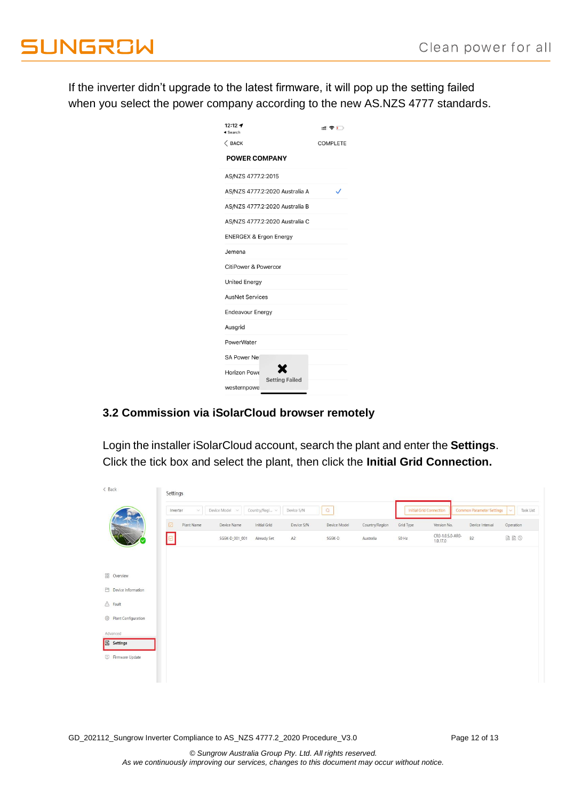If the inverter didn't upgrade to the latest firmware, it will pop up the setting failed when you select the power company according to the new AS.NZS 4777 standards.

| 12:12 $-$<br>Search               |                                | ≝ಿ⊏             |
|-----------------------------------|--------------------------------|-----------------|
| $\langle$ BACK                    |                                | <b>COMPLETE</b> |
| <b>POWER COMPANY</b>              |                                |                 |
| AS/NZS 4777.2:2015                |                                |                 |
|                                   | AS/NZS 4777.2:2020 Australia A | ✓               |
|                                   | AS/NZS 4777.2:2020 Australia B |                 |
|                                   | AS/NZS 4777.2:2020 Australia C |                 |
| <b>ENERGEX &amp; Ergon Energy</b> |                                |                 |
| Jemena                            |                                |                 |
| CitiPower & Powercor              |                                |                 |
| <b>United Energy</b>              |                                |                 |
| <b>AusNet Services</b>            |                                |                 |
| <b>Endeavour Energy</b>           |                                |                 |
| Ausgrid                           |                                |                 |
| PowerWater                        |                                |                 |
| SA Power Net                      |                                |                 |
| Horizon Powe                      |                                |                 |
| westernpowe                       | <b>Setting Failed</b>          |                 |

### **3.2 Commission via iSolarCloud browser remotely**

Login the installer iSolarCloud account, search the plant and enter the **Settings**. Click the tick box and select the plant, then click the **Initial Grid Connection.**

| < Back                           | Settings           |                |                   |            |              |                |                                |                              |                           |                |
|----------------------------------|--------------------|----------------|-------------------|------------|--------------|----------------|--------------------------------|------------------------------|---------------------------|----------------|
|                                  | Inverter<br>$\vee$ | Device Model v | Country/Regi v    | Device S/N | $\Omega$     |                | <b>Initial Grid Connection</b> |                              | Common Parameter Settings | Task List<br>v |
|                                  | ☑<br>Plant Name    | Device Name    | Initial Grid      | Device S/N | Device Model | Country/Region | Grid Type                      | Version No.                  | Device Interval           | Operation      |
|                                  | ◙                  | SG5K-D_001_001 | A2<br>Already Set |            | SG5K-D       | Australia      | 50 Hz                          | CR0-1.0.5.0-AR0-<br>1.0.17.0 | B <sub>2</sub>            | a a o          |
|                                  |                    |                |                   |            |              |                |                                |                              |                           |                |
| <b>BB</b> Overview               |                    |                |                   |            |              |                |                                |                              |                           |                |
| Device Information               |                    |                |                   |            |              |                |                                |                              |                           |                |
| $\triangle$ Fault                |                    |                |                   |            |              |                |                                |                              |                           |                |
| <sup>2</sup> Plant Configuration |                    |                |                   |            |              |                |                                |                              |                           |                |
| Advanced                         |                    |                |                   |            |              |                |                                |                              |                           |                |
| <b>&amp;</b> Settings            |                    |                |                   |            |              |                |                                |                              |                           |                |
| Firmware Update                  |                    |                |                   |            |              |                |                                |                              |                           |                |
|                                  |                    |                |                   |            |              |                |                                |                              |                           |                |
|                                  |                    |                |                   |            |              |                |                                |                              |                           |                |

GD\_202112\_Sungrow Inverter Compliance to AS\_NZS 4777.2\_2020 Procedure\_V3.0 Page 12 of 13